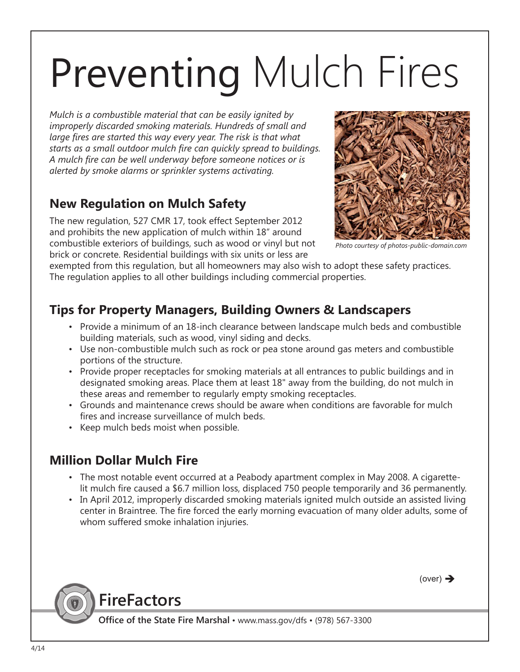# Preventing Mulch Fires

*Mulch is a combustible material that can be easily ignited by improperly discarded smoking materials. Hundreds of small and large fires are started this way every year. The risk is that what starts as a small outdoor mulch fire can quickly spread to buildings. A mulch fire can be well underway before someone notices or is alerted by smoke alarms or sprinkler systems activating.*

## **New Regulation on Mulch Safety**

The new regulation, 527 CMR 17, took effect September 2012 and prohibits the new application of mulch within 18" around combustible exteriors of buildings, such as wood or vinyl but not brick or concrete. Residential buildings with six units or less are



*Photo courtesy of photos-public-domain.com*

exempted from this regulation, but all homeowners may also wish to adopt these safety practices. The regulation applies to all other buildings including commercial properties.

#### **Tips for Property Managers, Building Owners & Landscapers**

- Provide a minimum of an 18-inch clearance between landscape mulch beds and combustible building materials, such as wood, vinyl siding and decks.
- Use non-combustible mulch such as rock or pea stone around gas meters and combustible portions of the structure.
- Provide proper receptacles for smoking materials at all entrances to public buildings and in designated smoking areas. Place them at least 18" away from the building, do not mulch in these areas and remember to regularly empty smoking receptacles.
- Grounds and maintenance crews should be aware when conditions are favorable for mulch fires and increase surveillance of mulch beds.
- Keep mulch beds moist when possible.

#### **Million Dollar Mulch Fire**

- The most notable event occurred at a Peabody apartment complex in May 2008. A cigarettelit mulch fire caused a \$6.7 million loss, displaced 750 people temporarily and 36 permanently.
- In April 2012, improperly discarded smoking materials ignited mulch outside an assisted living center in Braintree. The fire forced the early morning evacuation of many older adults, some of whom suffered smoke inhalation injuries.

 $(over) \rightarrow$ 

**FireFactors**

**Office of the State Fire Marshal** • www.mass.gov/dfs • (978) 567-3300